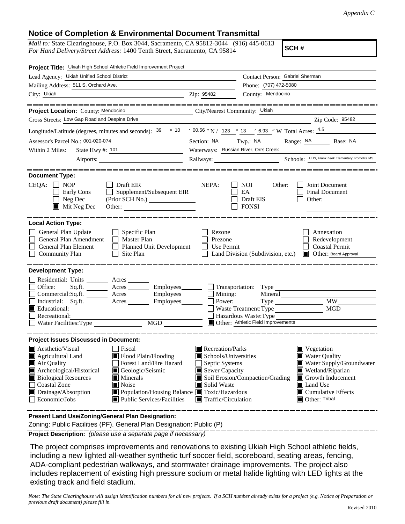## **Notice of Completion & Environmental Document Transmittal**

*Mail to:* State Clearinghouse, P.O. Box 3044, Sacramento, CA 95812-3044 (916) 445-0613 *For Hand Delivery/Street Address:* 1400 Tenth Street, Sacramento, CA 95814

**SCH #**

|                                                                                                                                                                                                                       | Contact Person: Gabriel Sherman                                                                                                                                                                                      |
|-----------------------------------------------------------------------------------------------------------------------------------------------------------------------------------------------------------------------|----------------------------------------------------------------------------------------------------------------------------------------------------------------------------------------------------------------------|
|                                                                                                                                                                                                                       |                                                                                                                                                                                                                      |
|                                                                                                                                                                                                                       | Phone: (707) 472-5080                                                                                                                                                                                                |
| Zip: 95482                                                                                                                                                                                                            | County: Mendocino                                                                                                                                                                                                    |
|                                                                                                                                                                                                                       |                                                                                                                                                                                                                      |
|                                                                                                                                                                                                                       | Zip Code: 95482                                                                                                                                                                                                      |
|                                                                                                                                                                                                                       |                                                                                                                                                                                                                      |
|                                                                                                                                                                                                                       | Longitude/Latitude (degrees, minutes and seconds): $39 \degree 10 \degree 10 \degree 100.56$ "N / 123 ° 13 ′ 6.93 "W Total Acres: $4.5$                                                                              |
|                                                                                                                                                                                                                       | Range: NA<br>Base: NA                                                                                                                                                                                                |
|                                                                                                                                                                                                                       |                                                                                                                                                                                                                      |
|                                                                                                                                                                                                                       | Railways: Schools: UHS, Frank Zeek Elementary, Pomolita MS                                                                                                                                                           |
| NEPA:<br>Supplement/Subsequent EIR                                                                                                                                                                                    | Joint Document<br><b>NOI</b><br>Other:<br>EA<br><b>Final Document</b><br>Draft EIS<br>Other:<br><b>FONSI</b>                                                                                                         |
|                                                                                                                                                                                                                       |                                                                                                                                                                                                                      |
| Rezone<br>Prezone<br>Planned Unit Development<br>Use Permit                                                                                                                                                           | Annexation<br>Redevelopment<br><b>Coastal Permit</b><br>Land Division (Subdivision, etc.)<br><b>Delayer:</b> Board Approval                                                                                          |
|                                                                                                                                                                                                                       |                                                                                                                                                                                                                      |
| Acres _________ Employees________ __ Transportation: Type<br>Commercial:Sq.ft. ________ Acres _________ Employees ________ $\Box$<br>Mining:<br>Industrial: Sq.ft. _______ Acres _______ Employees ______ _<br>Power: | Mineral<br><b>MW</b><br><b>MGD</b><br>Waste Treatment: Type<br>Hazardous Waste: Type<br>Other: Athletic Field Improvements                                                                                           |
|                                                                                                                                                                                                                       |                                                                                                                                                                                                                      |
| Recreation/Parks<br>Schools/Universities<br>Septic Systems<br>Sewer Capacity<br>Solid Waste<br>ш<br>Population/Housing Balance Toxic/Hazardous<br>Traffic/Circulation                                                 | $\blacksquare$ Vegetation<br>Water Quality<br>Water Supply/Groundwater<br>Wetland/Riparian<br>Soil Erosion/Compaction/Grading<br>Growth Inducement<br>Land Use<br>$\blacksquare$ Cumulative Effects<br>Other: Tribal |
|                                                                                                                                                                                                                       | City/Nearest Community: Ukiah<br>Section: NA Twp.: NA<br>Waterways: Russian River, Orrs Creek                                                                                                                        |

**Present Land Use/Zoning/General Plan Designation:**

Zoning: Public Facilities (PF). General Plan Designation: Public (P)

**Project Description:** *(please use a separate page if necessary)*

 The project comprises improvements and renovations to existing Ukiah High School athletic fields, including a new lighted all-weather synthetic turf soccer field, scoreboard, seating areas, fencing, ADA-compliant pedestrian walkways, and stormwater drainage improvements. The project also includes replacement of existing high pressure sodium or metal halide lighting with LED lights at the existing track and field stadium.

*Note: The State Clearinghouse will assign identification numbers for all new projects. If a SCH number already exists for a project (e.g. Notice of Preparation or previous draft document) please fill in.*